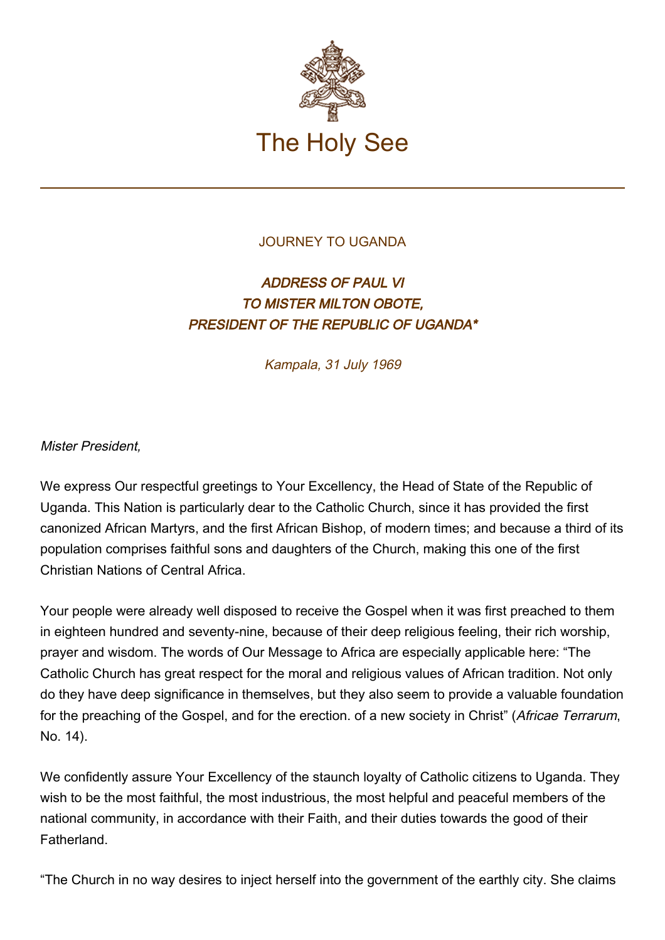

## JOURNEY TO UGANDA

## ADDRESS OF PAUL VI TO MISTER MILTON OBOTE, PRESIDENT OF THE REPUBLIC OF UGANDA\*

Kampala, 31 July 1969

Mister President,

We express Our respectful greetings to Your Excellency, the Head of State of the Republic of Uganda. This Nation is particularly dear to the Catholic Church, since it has provided the first canonized African Martyrs, and the first African Bishop, of modern times; and because a third of its population comprises faithful sons and daughters of the Church, making this one of the first Christian Nations of Central Africa.

Your people were already well disposed to receive the Gospel when it was first preached to them in eighteen hundred and seventy-nine, because of their deep religious feeling, their rich worship, prayer and wisdom. The words of Our Message to Africa are especially applicable here: "The Catholic Church has great respect for the moral and religious values of African tradition. Not only do they have deep significance in themselves, but they also seem to provide a valuable foundation for the preaching of the Gospel, and for the erection. of a new society in Christ" (Africae Terrarum, No. 14).

We confidently assure Your Excellency of the staunch loyalty of Catholic citizens to Uganda. They wish to be the most faithful, the most industrious, the most helpful and peaceful members of the national community, in accordance with their Faith, and their duties towards the good of their Fatherland.

"The Church in no way desires to inject herself into the government of the earthly city. She claims